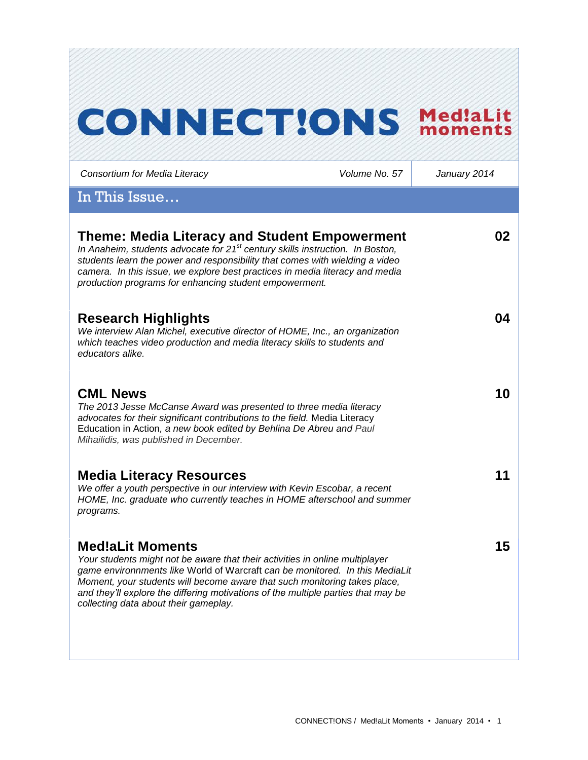# **CONNECT!ONS Med!aLit**

*Consortium for Media Literacy Volume No. 57 January 2014*

In This Issue…

| <b>Theme: Media Literacy and Student Empowerment</b><br>In Anaheim, students advocate for $21st$ century skills instruction. In Boston,<br>students learn the power and responsibility that comes with wielding a video<br>camera. In this issue, we explore best practices in media literacy and media<br>production programs for enhancing student empowerment.                                  | 02 |
|----------------------------------------------------------------------------------------------------------------------------------------------------------------------------------------------------------------------------------------------------------------------------------------------------------------------------------------------------------------------------------------------------|----|
| <b>Research Highlights</b><br>We interview Alan Michel, executive director of HOME, Inc., an organization<br>which teaches video production and media literacy skills to students and<br>educators alike.                                                                                                                                                                                          | 04 |
| <b>CML News</b><br>The 2013 Jesse McCanse Award was presented to three media literacy<br>advocates for their significant contributions to the field. Media Literacy<br>Education in Action, a new book edited by Behlina De Abreu and Paul<br>Mihailidis, was published in December.                                                                                                               | 10 |
| <b>Media Literacy Resources</b><br>We offer a youth perspective in our interview with Kevin Escobar, a recent<br>HOME, Inc. graduate who currently teaches in HOME afterschool and summer<br>programs.                                                                                                                                                                                             | 11 |
| <b>Med!aLit Moments</b><br>Your students might not be aware that their activities in online multiplayer<br>game environnments like World of Warcraft can be monitored. In this MediaLit<br>Moment, your students will become aware that such monitoring takes place,<br>and they'll explore the differing motivations of the multiple parties that may be<br>collecting data about their gameplay. | 15 |
|                                                                                                                                                                                                                                                                                                                                                                                                    |    |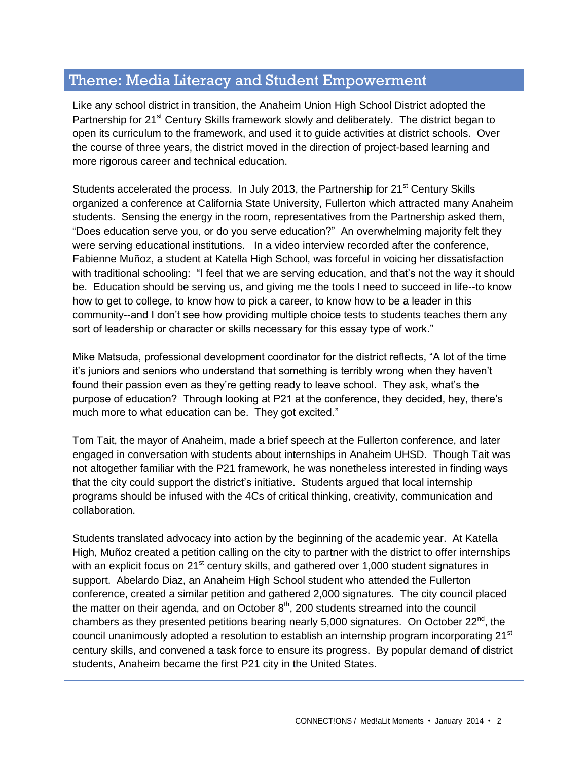# Theme: Media Literacy and Student Empowerment

Like any school district in transition, the Anaheim Union High School District adopted the Partnership for 21<sup>st</sup> Century Skills framework slowly and deliberately. The district began to open its curriculum to the framework, and used it to guide activities at district schools. Over the course of three years, the district moved in the direction of project-based learning and more rigorous career and technical education.

Students accelerated the process. In July 2013, the Partnership for  $21<sup>st</sup>$  Century Skills organized a conference at California State University, Fullerton which attracted many Anaheim students. Sensing the energy in the room, representatives from the Partnership asked them, "Does education serve you, or do you serve education?" An overwhelming majority felt they were serving educational institutions. In a video interview recorded after the conference, Fabienne Muñoz, a student at Katella High School, was forceful in voicing her dissatisfaction with traditional schooling: "I feel that we are serving education, and that's not the way it should be. Education should be serving us, and giving me the tools I need to succeed in life--to know how to get to college, to know how to pick a career, to know how to be a leader in this community--and I don't see how providing multiple choice tests to students teaches them any sort of leadership or character or skills necessary for this essay type of work."

Mike Matsuda, professional development coordinator for the district reflects, "A lot of the time it's juniors and seniors who understand that something is terribly wrong when they haven't found their passion even as they're getting ready to leave school. They ask, what's the purpose of education? Through looking at P21 at the conference, they decided, hey, there's much more to what education can be. They got excited."

Tom Tait, the mayor of Anaheim, made a brief speech at the Fullerton conference, and later engaged in conversation with students about internships in Anaheim UHSD. Though Tait was not altogether familiar with the P21 framework, he was nonetheless interested in finding ways that the city could support the district's initiative. Students argued that local internship programs should be infused with the 4Cs of critical thinking, creativity, communication and collaboration.

Students translated advocacy into action by the beginning of the academic year. At Katella High, Muñoz created a petition calling on the city to partner with the district to offer internships with an explicit focus on 21<sup>st</sup> century skills, and gathered over 1,000 student signatures in support. Abelardo Diaz, an Anaheim High School student who attended the Fullerton conference, created a similar petition and gathered 2,000 signatures. The city council placed the matter on their agenda, and on October  $8<sup>th</sup>$ , 200 students streamed into the council chambers as they presented petitions bearing nearly 5,000 signatures. On October  $22^{nd}$ , the council unanimously adopted a resolution to establish an internship program incorporating 21<sup>st</sup> century skills, and convened a task force to ensure its progress. By popular demand of district students, Anaheim became the first P21 city in the United States.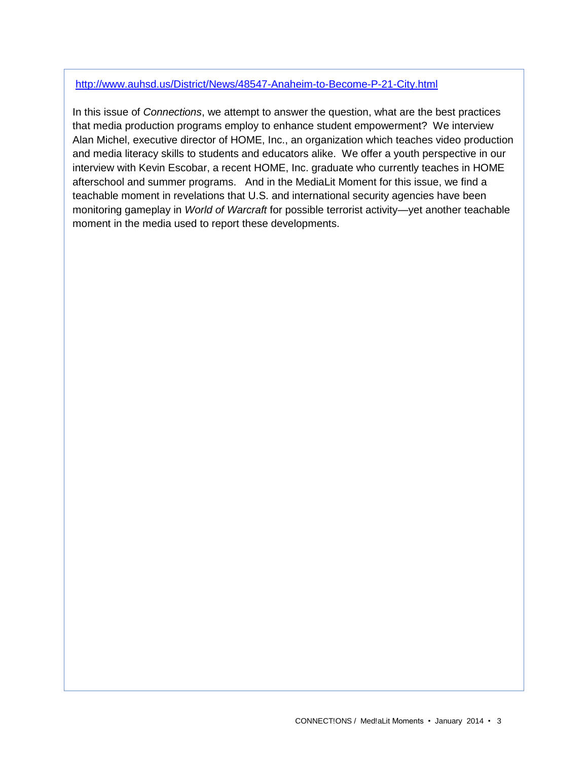#### <http://www.auhsd.us/District/News/48547-Anaheim-to-Become-P-21-City.html>

In this issue of *Connections*, we attempt to answer the question, what are the best practices that media production programs employ to enhance student empowerment? We interview Alan Michel, executive director of HOME, Inc., an organization which teaches video production and media literacy skills to students and educators alike. We offer a youth perspective in our interview with Kevin Escobar, a recent HOME, Inc. graduate who currently teaches in HOME afterschool and summer programs. And in the MediaLit Moment for this issue, we find a teachable moment in revelations that U.S. and international security agencies have been monitoring gameplay in *World of Warcraft* for possible terrorist activity—yet another teachable moment in the media used to report these developments.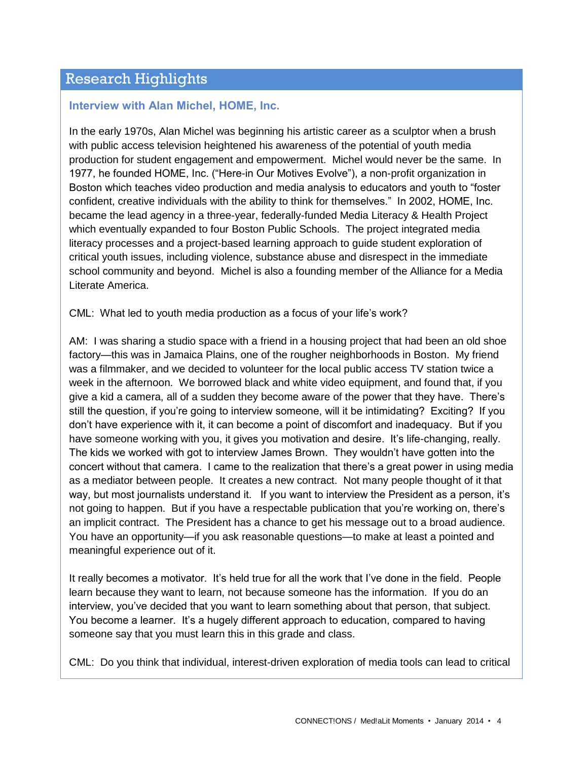## Research Highlights

### **Interview with Alan Michel, HOME, Inc.**

In the early 1970s, Alan Michel was beginning his artistic career as a sculptor when a brush with public access television heightened his awareness of the potential of youth media production for student engagement and empowerment. Michel would never be the same. In 1977, he founded HOME, Inc. ("Here-in Our Motives Evolve"), a non-profit organization in Boston which teaches video production and media analysis to educators and youth to "foster confident, creative individuals with the ability to think for themselves." In 2002, HOME, Inc. became the lead agency in a three-year, federally-funded Media Literacy & Health Project which eventually expanded to four Boston Public Schools. The project integrated media literacy processes and a project-based learning approach to guide student exploration of critical youth issues, including violence, substance abuse and disrespect in the immediate school community and beyond. Michel is also a founding member of the Alliance for a Media Literate America.

CML: What led to youth media production as a focus of your life's work?

AM: I was sharing a studio space with a friend in a housing project that had been an old shoe factory—this was in Jamaica Plains, one of the rougher neighborhoods in Boston. My friend was a filmmaker, and we decided to volunteer for the local public access TV station twice a week in the afternoon. We borrowed black and white video equipment, and found that, if you give a kid a camera, all of a sudden they become aware of the power that they have. There's still the question, if you're going to interview someone, will it be intimidating? Exciting? If you don't have experience with it, it can become a point of discomfort and inadequacy. But if you have someone working with you, it gives you motivation and desire. It's life-changing, really. The kids we worked with got to interview James Brown. They wouldn't have gotten into the concert without that camera. I came to the realization that there's a great power in using media as a mediator between people. It creates a new contract. Not many people thought of it that way, but most journalists understand it. If you want to interview the President as a person, it's not going to happen. But if you have a respectable publication that you're working on, there's an implicit contract. The President has a chance to get his message out to a broad audience. You have an opportunity—if you ask reasonable questions—to make at least a pointed and meaningful experience out of it.

It really becomes a motivator. It's held true for all the work that I've done in the field. People learn because they want to learn, not because someone has the information. If you do an interview, you've decided that you want to learn something about that person, that subject. You become a learner. It's a hugely different approach to education, compared to having someone say that you must learn this in this grade and class.

CML: Do you think that individual, interest-driven exploration of media tools can lead to critical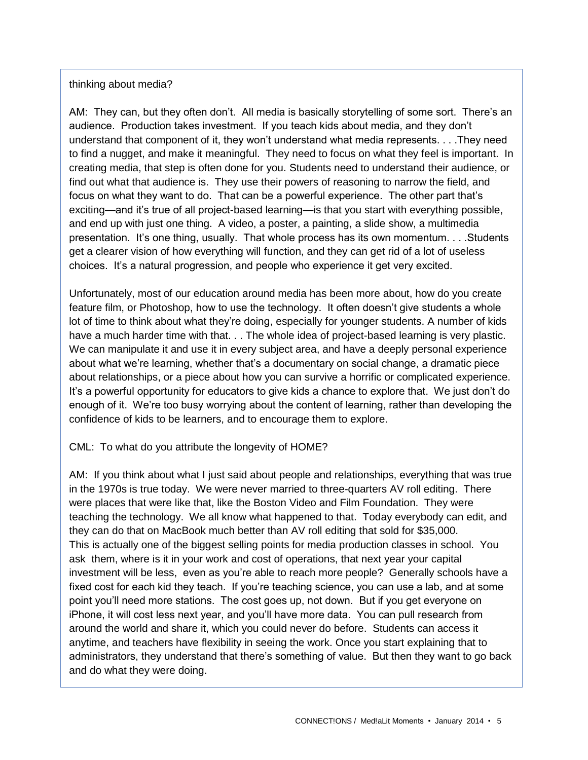#### thinking about media?

AM: They can, but they often don't. All media is basically storytelling of some sort. There's an audience. Production takes investment. If you teach kids about media, and they don't understand that component of it, they won't understand what media represents. . . .They need to find a nugget, and make it meaningful. They need to focus on what they feel is important. In creating media, that step is often done for you. Students need to understand their audience, or find out what that audience is. They use their powers of reasoning to narrow the field, and focus on what they want to do. That can be a powerful experience. The other part that's exciting—and it's true of all project-based learning—is that you start with everything possible, and end up with just one thing. A video, a poster, a painting, a slide show, a multimedia presentation. It's one thing, usually. That whole process has its own momentum. . . .Students get a clearer vision of how everything will function, and they can get rid of a lot of useless choices. It's a natural progression, and people who experience it get very excited.

Unfortunately, most of our education around media has been more about, how do you create feature film, or Photoshop, how to use the technology. It often doesn't give students a whole lot of time to think about what they're doing, especially for younger students. A number of kids have a much harder time with that. . . The whole idea of project-based learning is very plastic. We can manipulate it and use it in every subject area, and have a deeply personal experience about what we're learning, whether that's a documentary on social change, a dramatic piece about relationships, or a piece about how you can survive a horrific or complicated experience. It's a powerful opportunity for educators to give kids a chance to explore that. We just don't do enough of it. We're too busy worrying about the content of learning, rather than developing the confidence of kids to be learners, and to encourage them to explore.

#### CML: To what do you attribute the longevity of HOME?

AM: If you think about what I just said about people and relationships, everything that was true in the 1970s is true today. We were never married to three-quarters AV roll editing. There were places that were like that, like the Boston Video and Film Foundation. They were teaching the technology. We all know what happened to that. Today everybody can edit, and they can do that on MacBook much better than AV roll editing that sold for \$35,000. This is actually one of the biggest selling points for media production classes in school. You ask them, where is it in your work and cost of operations, that next year your capital investment will be less, even as you're able to reach more people? Generally schools have a fixed cost for each kid they teach. If you're teaching science, you can use a lab, and at some point you'll need more stations. The cost goes up, not down. But if you get everyone on iPhone, it will cost less next year, and you'll have more data. You can pull research from around the world and share it, which you could never do before. Students can access it anytime, and teachers have flexibility in seeing the work. Once you start explaining that to administrators, they understand that there's something of value. But then they want to go back and do what they were doing.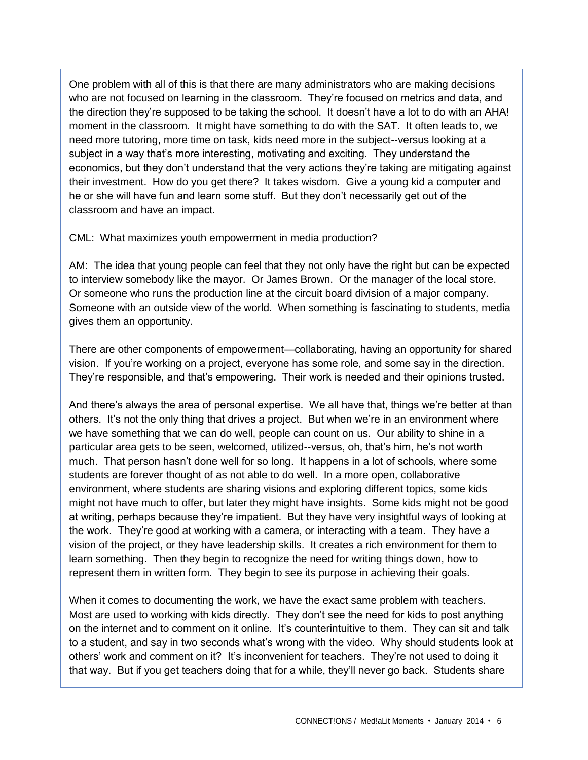One problem with all of this is that there are many administrators who are making decisions who are not focused on learning in the classroom. They're focused on metrics and data, and the direction they're supposed to be taking the school. It doesn't have a lot to do with an AHA! moment in the classroom. It might have something to do with the SAT. It often leads to, we need more tutoring, more time on task, kids need more in the subject--versus looking at a subject in a way that's more interesting, motivating and exciting. They understand the economics, but they don't understand that the very actions they're taking are mitigating against their investment. How do you get there? It takes wisdom. Give a young kid a computer and he or she will have fun and learn some stuff. But they don't necessarily get out of the classroom and have an impact.

CML: What maximizes youth empowerment in media production?

AM: The idea that young people can feel that they not only have the right but can be expected to interview somebody like the mayor. Or James Brown. Or the manager of the local store. Or someone who runs the production line at the circuit board division of a major company. Someone with an outside view of the world. When something is fascinating to students, media gives them an opportunity.

There are other components of empowerment—collaborating, having an opportunity for shared vision. If you're working on a project, everyone has some role, and some say in the direction. They're responsible, and that's empowering. Their work is needed and their opinions trusted.

And there's always the area of personal expertise. We all have that, things we're better at than others. It's not the only thing that drives a project. But when we're in an environment where we have something that we can do well, people can count on us. Our ability to shine in a particular area gets to be seen, welcomed, utilized--versus, oh, that's him, he's not worth much. That person hasn't done well for so long. It happens in a lot of schools, where some students are forever thought of as not able to do well. In a more open, collaborative environment, where students are sharing visions and exploring different topics, some kids might not have much to offer, but later they might have insights. Some kids might not be good at writing, perhaps because they're impatient. But they have very insightful ways of looking at the work. They're good at working with a camera, or interacting with a team. They have a vision of the project, or they have leadership skills. It creates a rich environment for them to learn something. Then they begin to recognize the need for writing things down, how to represent them in written form. They begin to see its purpose in achieving their goals.

When it comes to documenting the work, we have the exact same problem with teachers. Most are used to working with kids directly. They don't see the need for kids to post anything on the internet and to comment on it online. It's counterintuitive to them. They can sit and talk to a student, and say in two seconds what's wrong with the video. Why should students look at others' work and comment on it? It's inconvenient for teachers. They're not used to doing it that way. But if you get teachers doing that for a while, they'll never go back. Students share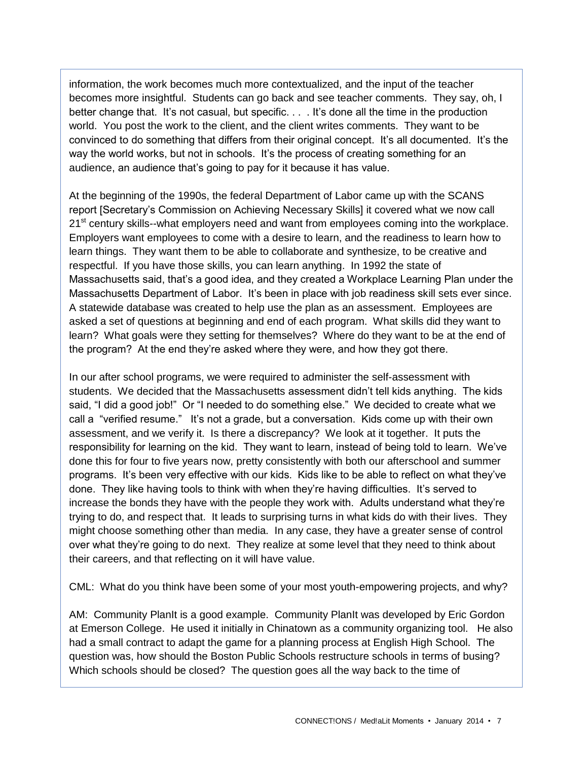information, the work becomes much more contextualized, and the input of the teacher becomes more insightful. Students can go back and see teacher comments. They say, oh, I better change that. It's not casual, but specific. . . . It's done all the time in the production world. You post the work to the client, and the client writes comments. They want to be convinced to do something that differs from their original concept. It's all documented. It's the way the world works, but not in schools. It's the process of creating something for an audience, an audience that's going to pay for it because it has value.

At the beginning of the 1990s, the federal Department of Labor came up with the SCANS report [Secretary's Commission on Achieving Necessary Skills] it covered what we now call 21<sup>st</sup> century skills--what employers need and want from employees coming into the workplace. Employers want employees to come with a desire to learn, and the readiness to learn how to learn things. They want them to be able to collaborate and synthesize, to be creative and respectful. If you have those skills, you can learn anything. In 1992 the state of Massachusetts said, that's a good idea, and they created a Workplace Learning Plan under the Massachusetts Department of Labor. It's been in place with job readiness skill sets ever since. A statewide database was created to help use the plan as an assessment. Employees are asked a set of questions at beginning and end of each program. What skills did they want to learn? What goals were they setting for themselves? Where do they want to be at the end of the program? At the end they're asked where they were, and how they got there.

In our after school programs, we were required to administer the self-assessment with students. We decided that the Massachusetts assessment didn't tell kids anything. The kids said, "I did a good job!" Or "I needed to do something else." We decided to create what we call a "verified resume." It's not a grade, but a conversation. Kids come up with their own assessment, and we verify it. Is there a discrepancy? We look at it together. It puts the responsibility for learning on the kid. They want to learn, instead of being told to learn. We've done this for four to five years now, pretty consistently with both our afterschool and summer programs. It's been very effective with our kids. Kids like to be able to reflect on what they've done. They like having tools to think with when they're having difficulties. It's served to increase the bonds they have with the people they work with. Adults understand what they're trying to do, and respect that. It leads to surprising turns in what kids do with their lives. They might choose something other than media. In any case, they have a greater sense of control over what they're going to do next. They realize at some level that they need to think about their careers, and that reflecting on it will have value.

CML: What do you think have been some of your most youth-empowering projects, and why?

AM: Community PlanIt is a good example. Community PlanIt was developed by Eric Gordon at Emerson College. He used it initially in Chinatown as a community organizing tool. He also had a small contract to adapt the game for a planning process at English High School. The question was, how should the Boston Public Schools restructure schools in terms of busing? Which schools should be closed? The question goes all the way back to the time of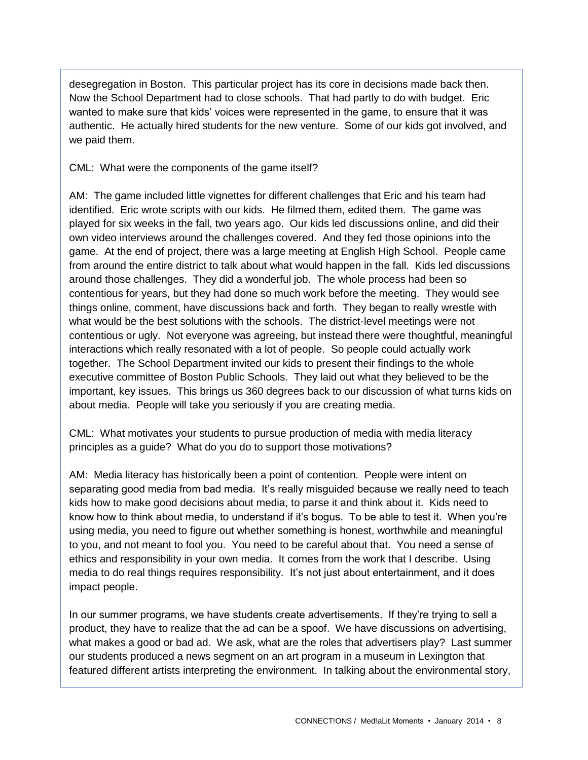desegregation in Boston. This particular project has its core in decisions made back then. Now the School Department had to close schools. That had partly to do with budget. Eric wanted to make sure that kids' voices were represented in the game, to ensure that it was authentic. He actually hired students for the new venture. Some of our kids got involved, and we paid them.

CML: What were the components of the game itself?

AM: The game included little vignettes for different challenges that Eric and his team had identified. Eric wrote scripts with our kids. He filmed them, edited them. The game was played for six weeks in the fall, two years ago. Our kids led discussions online, and did their own video interviews around the challenges covered. And they fed those opinions into the game. At the end of project, there was a large meeting at English High School. People came from around the entire district to talk about what would happen in the fall. Kids led discussions around those challenges. They did a wonderful job. The whole process had been so contentious for years, but they had done so much work before the meeting. They would see things online, comment, have discussions back and forth. They began to really wrestle with what would be the best solutions with the schools. The district-level meetings were not contentious or ugly. Not everyone was agreeing, but instead there were thoughtful, meaningful interactions which really resonated with a lot of people. So people could actually work together. The School Department invited our kids to present their findings to the whole executive committee of Boston Public Schools. They laid out what they believed to be the important, key issues. This brings us 360 degrees back to our discussion of what turns kids on about media. People will take you seriously if you are creating media.

CML: What motivates your students to pursue production of media with media literacy principles as a guide? What do you do to support those motivations?

AM: Media literacy has historically been a point of contention. People were intent on separating good media from bad media. It's really misguided because we really need to teach kids how to make good decisions about media, to parse it and think about it. Kids need to know how to think about media, to understand if it's bogus. To be able to test it. When you're using media, you need to figure out whether something is honest, worthwhile and meaningful to you, and not meant to fool you. You need to be careful about that. You need a sense of ethics and responsibility in your own media. It comes from the work that I describe. Using media to do real things requires responsibility. It's not just about entertainment, and it does impact people.

In our summer programs, we have students create advertisements. If they're trying to sell a product, they have to realize that the ad can be a spoof. We have discussions on advertising, what makes a good or bad ad. We ask, what are the roles that advertisers play? Last summer our students produced a news segment on an art program in a museum in Lexington that featured different artists interpreting the environment. In talking about the environmental story,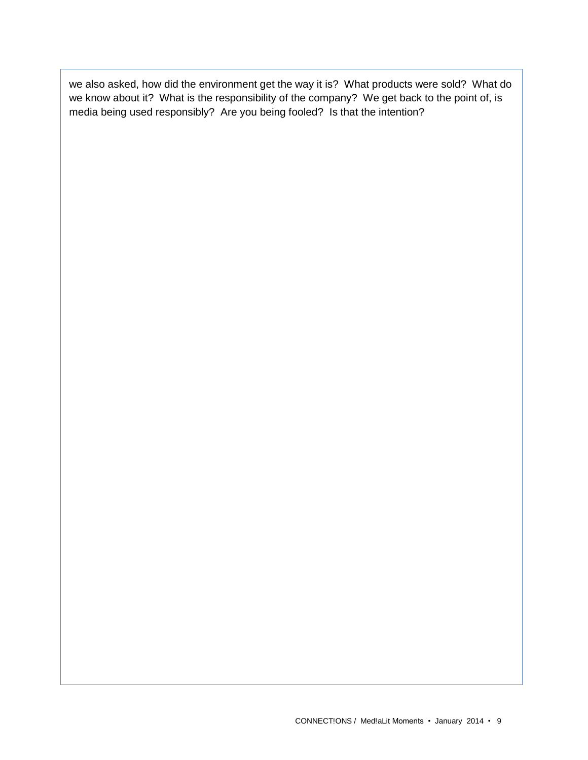we also asked, how did the environment get the way it is? What products were sold? What do we know about it? What is the responsibility of the company? We get back to the point of, is media being used responsibly? Are you being fooled? Is that the intention?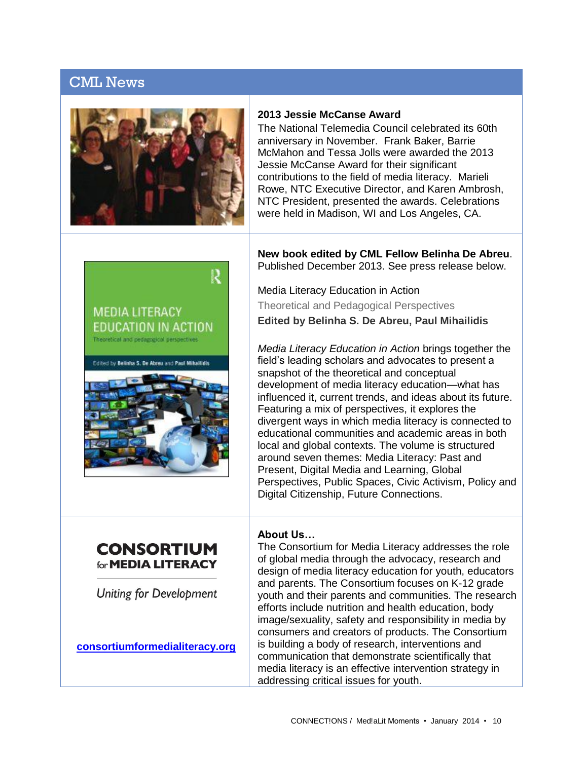## CML News



#### **2013 Jessie McCanse Award**

The National Telemedia Council celebrated its 60th anniversary in November. Frank Baker, Barrie McMahon and Tessa Jolls were awarded the 2013 Jessie McCanse Award for their significant contributions to the field of media literacy. Marieli Rowe, NTC Executive Director, and Karen Ambrosh, NTC President, presented the awards. Celebrations were held in Madison, WI and Los Angeles, CA.



**New book edited by CML Fellow Belinha De Abreu**. Published December 2013. See press release below.

Theoretical and Pedagogical Perspectives **Edited by Belinha S. De Abreu, Paul Mihailidis**

*Media Literacy Education in Action* brings together the field's leading scholars and advocates to present a snapshot of the theoretical and conceptual development of media literacy education—what has influenced it, current trends, and ideas about its future. Featuring a mix of perspectives, it explores the divergent ways in which media literacy is connected to educational communities and academic areas in both local and global contexts. The volume is structured around seven themes: Media Literacy: Past and Present, Digital Media and Learning, Global Perspectives, Public Spaces, Civic Activism, Policy and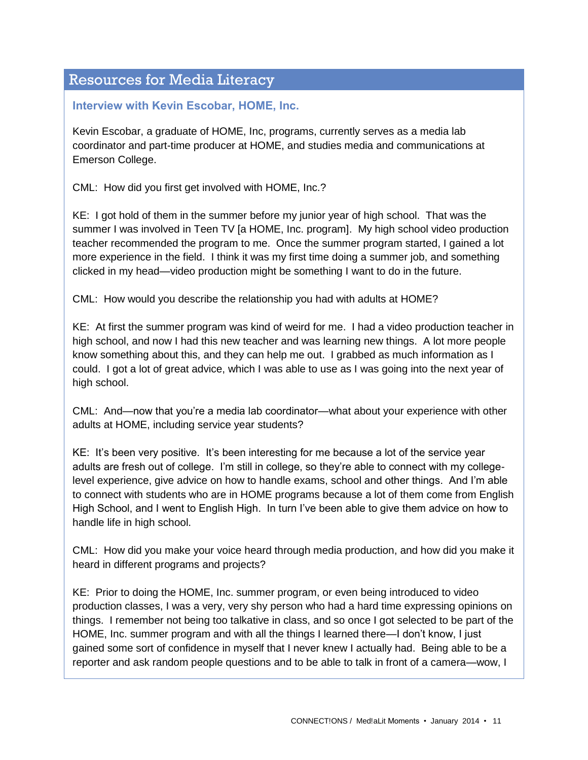# Resources for Media Literacy

## **Interview with Kevin Escobar, HOME, Inc.**

Kevin Escobar, a graduate of HOME, Inc, programs, currently serves as a media lab coordinator and part-time producer at HOME, and studies media and communications at Emerson College.

CML: How did you first get involved with HOME, Inc.?

KE: I got hold of them in the summer before my junior year of high school. That was the summer I was involved in Teen TV [a HOME, Inc. program]. My high school video production teacher recommended the program to me. Once the summer program started, I gained a lot more experience in the field. I think it was my first time doing a summer job, and something clicked in my head—video production might be something I want to do in the future.

CML: How would you describe the relationship you had with adults at HOME?

KE: At first the summer program was kind of weird for me. I had a video production teacher in high school, and now I had this new teacher and was learning new things. A lot more people know something about this, and they can help me out. I grabbed as much information as I could. I got a lot of great advice, which I was able to use as I was going into the next year of high school.

CML: And—now that you're a media lab coordinator—what about your experience with other adults at HOME, including service year students?

KE: It's been very positive. It's been interesting for me because a lot of the service year adults are fresh out of college. I'm still in college, so they're able to connect with my collegelevel experience, give advice on how to handle exams, school and other things. And I'm able to connect with students who are in HOME programs because a lot of them come from English High School, and I went to English High. In turn I've been able to give them advice on how to handle life in high school.

CML: How did you make your voice heard through media production, and how did you make it heard in different programs and projects?

KE: Prior to doing the HOME, Inc. summer program, or even being introduced to video production classes, I was a very, very shy person who had a hard time expressing opinions on things. I remember not being too talkative in class, and so once I got selected to be part of the HOME, Inc. summer program and with all the things I learned there—I don't know, I just gained some sort of confidence in myself that I never knew I actually had. Being able to be a reporter and ask random people questions and to be able to talk in front of a camera—wow, I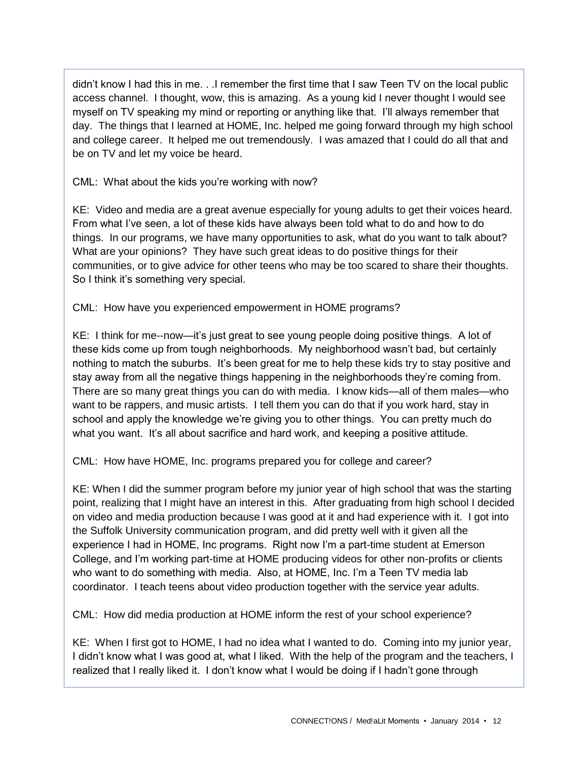didn't know I had this in me. . .I remember the first time that I saw Teen TV on the local public access channel. I thought, wow, this is amazing. As a young kid I never thought I would see myself on TV speaking my mind or reporting or anything like that. I'll always remember that day. The things that I learned at HOME, Inc. helped me going forward through my high school and college career. It helped me out tremendously. I was amazed that I could do all that and be on TV and let my voice be heard.

CML: What about the kids you're working with now?

KE: Video and media are a great avenue especially for young adults to get their voices heard. From what I've seen, a lot of these kids have always been told what to do and how to do things. In our programs, we have many opportunities to ask, what do you want to talk about? What are your opinions? They have such great ideas to do positive things for their communities, or to give advice for other teens who may be too scared to share their thoughts. So I think it's something very special.

CML: How have you experienced empowerment in HOME programs?

KE: I think for me--now—it's just great to see young people doing positive things. A lot of these kids come up from tough neighborhoods. My neighborhood wasn't bad, but certainly nothing to match the suburbs. It's been great for me to help these kids try to stay positive and stay away from all the negative things happening in the neighborhoods they're coming from. There are so many great things you can do with media. I know kids—all of them males—who want to be rappers, and music artists. I tell them you can do that if you work hard, stay in school and apply the knowledge we're giving you to other things. You can pretty much do what you want. It's all about sacrifice and hard work, and keeping a positive attitude.

CML: How have HOME, Inc. programs prepared you for college and career?

KE: When I did the summer program before my junior year of high school that was the starting point, realizing that I might have an interest in this. After graduating from high school I decided on video and media production because I was good at it and had experience with it. I got into the Suffolk University communication program, and did pretty well with it given all the experience I had in HOME, Inc programs. Right now I'm a part-time student at Emerson College, and I'm working part-time at HOME producing videos for other non-profits or clients who want to do something with media. Also, at HOME, Inc. I'm a Teen TV media lab coordinator. I teach teens about video production together with the service year adults.

CML: How did media production at HOME inform the rest of your school experience?

KE: When I first got to HOME, I had no idea what I wanted to do. Coming into my junior year, I didn't know what I was good at, what I liked. With the help of the program and the teachers, I realized that I really liked it. I don't know what I would be doing if I hadn't gone through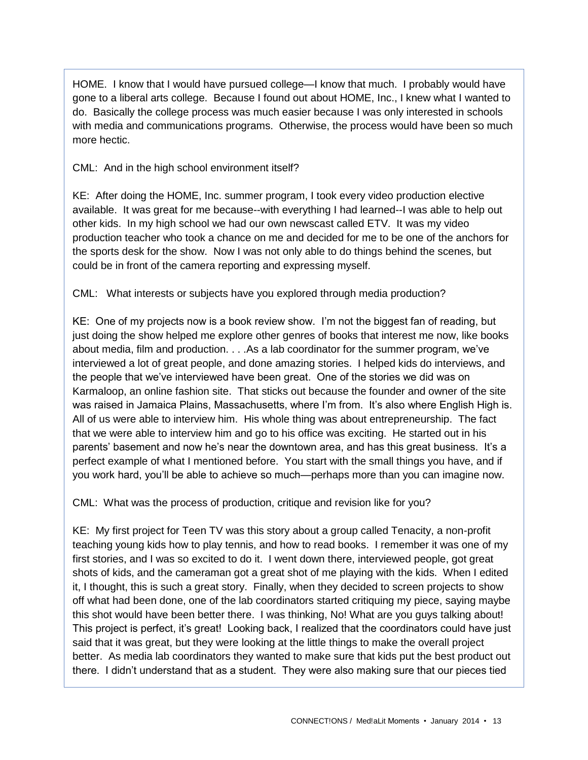HOME. I know that I would have pursued college—I know that much. I probably would have gone to a liberal arts college. Because I found out about HOME, Inc., I knew what I wanted to do. Basically the college process was much easier because I was only interested in schools with media and communications programs. Otherwise, the process would have been so much more hectic.

CML: And in the high school environment itself?

KE: After doing the HOME, Inc. summer program, I took every video production elective available. It was great for me because--with everything I had learned--I was able to help out other kids. In my high school we had our own newscast called ETV. It was my video production teacher who took a chance on me and decided for me to be one of the anchors for the sports desk for the show. Now I was not only able to do things behind the scenes, but could be in front of the camera reporting and expressing myself.

CML: What interests or subjects have you explored through media production?

KE: One of my projects now is a book review show. I'm not the biggest fan of reading, but just doing the show helped me explore other genres of books that interest me now, like books about media, film and production. . . .As a lab coordinator for the summer program, we've interviewed a lot of great people, and done amazing stories. I helped kids do interviews, and the people that we've interviewed have been great. One of the stories we did was on Karmaloop, an online fashion site. That sticks out because the founder and owner of the site was raised in Jamaica Plains, Massachusetts, where I'm from. It's also where English High is. All of us were able to interview him. His whole thing was about entrepreneurship. The fact that we were able to interview him and go to his office was exciting. He started out in his parents' basement and now he's near the downtown area, and has this great business. It's a perfect example of what I mentioned before. You start with the small things you have, and if you work hard, you'll be able to achieve so much—perhaps more than you can imagine now.

CML: What was the process of production, critique and revision like for you?

KE: My first project for Teen TV was this story about a group called Tenacity, a non-profit teaching young kids how to play tennis, and how to read books. I remember it was one of my first stories, and I was so excited to do it. I went down there, interviewed people, got great shots of kids, and the cameraman got a great shot of me playing with the kids. When I edited it, I thought, this is such a great story. Finally, when they decided to screen projects to show off what had been done, one of the lab coordinators started critiquing my piece, saying maybe this shot would have been better there. I was thinking, No! What are you guys talking about! This project is perfect, it's great! Looking back, I realized that the coordinators could have just said that it was great, but they were looking at the little things to make the overall project better. As media lab coordinators they wanted to make sure that kids put the best product out there. I didn't understand that as a student. They were also making sure that our pieces tied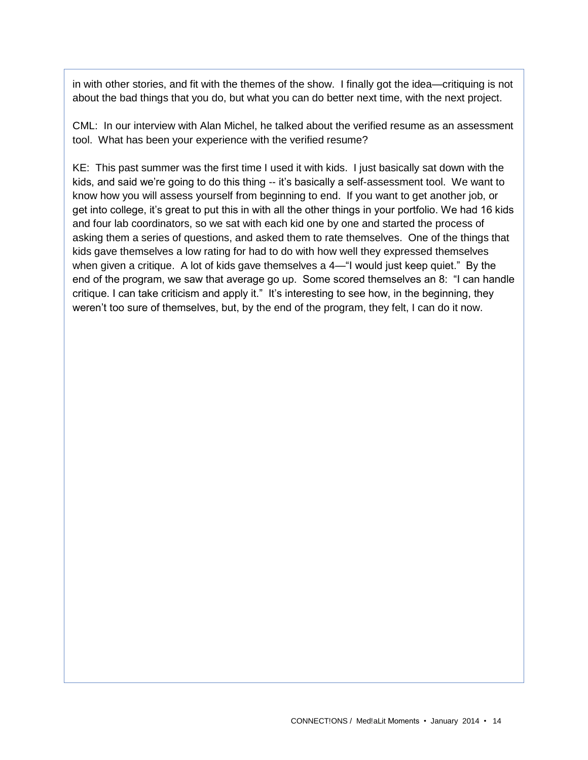in with other stories, and fit with the themes of the show. I finally got the idea—critiquing is not about the bad things that you do, but what you can do better next time, with the next project.

CML: In our interview with Alan Michel, he talked about the verified resume as an assessment tool. What has been your experience with the verified resume?

KE: This past summer was the first time I used it with kids. I just basically sat down with the kids, and said we're going to do this thing -- it's basically a self-assessment tool. We want to know how you will assess yourself from beginning to end. If you want to get another job, or get into college, it's great to put this in with all the other things in your portfolio. We had 16 kids and four lab coordinators, so we sat with each kid one by one and started the process of asking them a series of questions, and asked them to rate themselves. One of the things that kids gave themselves a low rating for had to do with how well they expressed themselves when given a critique. A lot of kids gave themselves a 4—"I would just keep quiet." By the end of the program, we saw that average go up. Some scored themselves an 8: "I can handle critique. I can take criticism and apply it." It's interesting to see how, in the beginning, they weren't too sure of themselves, but, by the end of the program, they felt, I can do it now.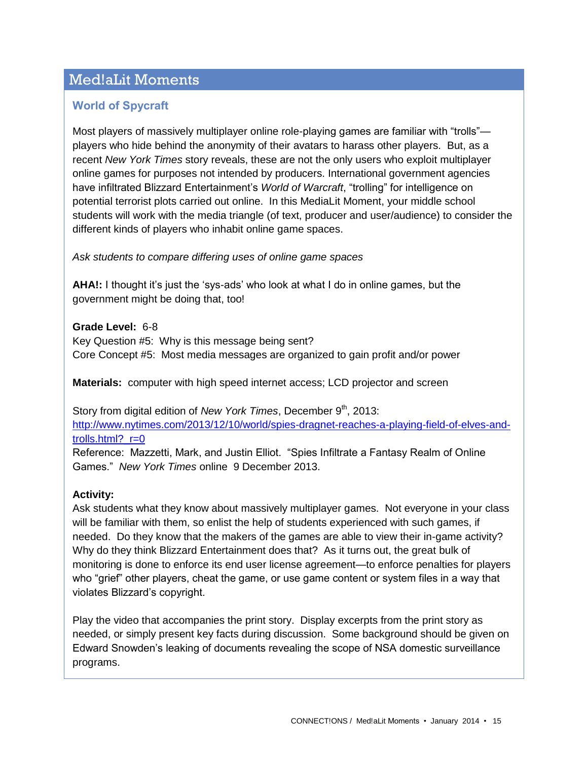# Med!aLit Moments

## **World of Spycraft**

Most players of massively multiplayer online role-playing games are familiar with "trolls" players who hide behind the anonymity of their avatars to harass other players. But, as a recent *New York Times* story reveals, these are not the only users who exploit multiplayer online games for purposes not intended by producers. International government agencies have infiltrated Blizzard Entertainment's *World of Warcraft*, "trolling" for intelligence on potential terrorist plots carried out online. In this MediaLit Moment, your middle school students will work with the media triangle (of text, producer and user/audience) to consider the different kinds of players who inhabit online game spaces.

*Ask students to compare differing uses of online game spaces*

**AHA!:** I thought it's just the 'sys-ads' who look at what I do in online games, but the government might be doing that, too!

**Grade Level:** 6-8 Key Question #5: Why is this message being sent? Core Concept #5: Most media messages are organized to gain profit and/or power

**Materials:** computer with high speed internet access; LCD projector and screen

Story from digital edition of *New York Times*, December 9<sup>th</sup>, 2013: [http://www.nytimes.com/2013/12/10/world/spies-dragnet-reaches-a-playing-field-of-elves-and](http://www.nytimes.com/2013/12/10/world/spies-dragnet-reaches-a-playing-field-of-elves-and-trolls.html?_r=0)[trolls.html?\\_r=0](http://www.nytimes.com/2013/12/10/world/spies-dragnet-reaches-a-playing-field-of-elves-and-trolls.html?_r=0)

Reference: Mazzetti, Mark, and Justin Elliot. "Spies Infiltrate a Fantasy Realm of Online Games." *New York Times* online 9 December 2013.

#### **Activity:**

Ask students what they know about massively multiplayer games. Not everyone in your class will be familiar with them, so enlist the help of students experienced with such games, if needed. Do they know that the makers of the games are able to view their in-game activity? Why do they think Blizzard Entertainment does that? As it turns out, the great bulk of monitoring is done to enforce its end user license agreement—to enforce penalties for players who "grief" other players, cheat the game, or use game content or system files in a way that violates Blizzard's copyright.

Play the video that accompanies the print story. Display excerpts from the print story as needed, or simply present key facts during discussion. Some background should be given on Edward Snowden's leaking of documents revealing the scope of NSA domestic surveillance programs.